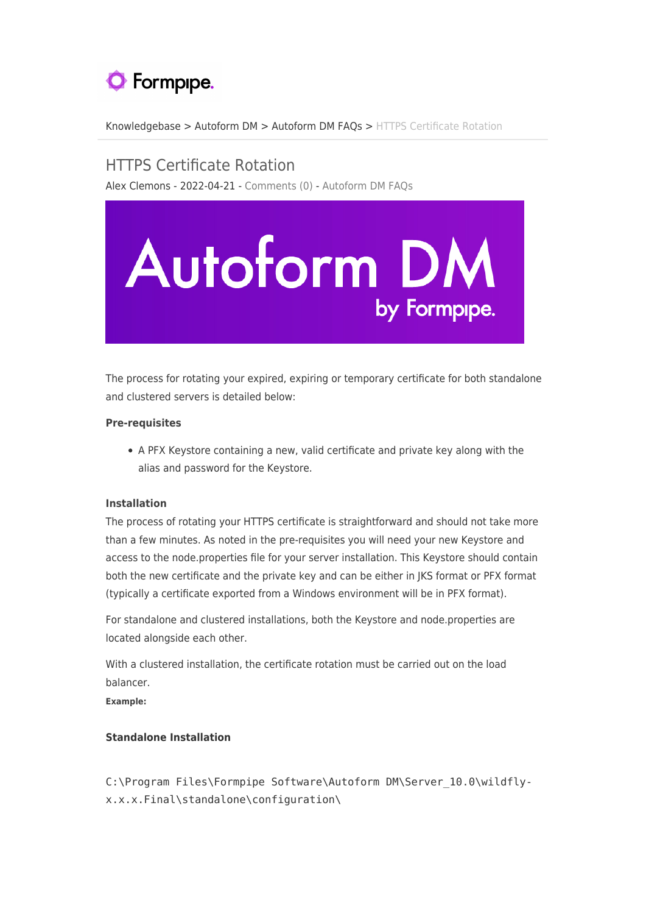# **O** Formpipe.

[Knowledgebase](https://support.formpipe.com/kb) > [Autoform DM](https://support.formpipe.com/kb/autoform-dm-2) > [Autoform DM FAQs](https://support.formpipe.com/kb/autoform-dm-faqs) > [HTTPS Certificate Rotation](https://support.formpipe.com/kb/articles/https-certificate-rotation-2)

# HTTPS Certificate Rotation

Alex Clemons - 2022-04-21 - [Comments \(0\)](#page--1-0) - [Autoform DM FAQs](https://support.formpipe.com/kb/autoform-dm-faqs)



The process for rotating your expired, expiring or temporary certificate for both standalone and clustered servers is detailed below:

# **Pre-requisites**

A PFX Keystore containing a new, valid certificate and private key along with the alias and password for the Keystore.

# **Installation**

The process of rotating your HTTPS certificate is straightforward and should not take more than a few minutes. As noted in the pre-requisites you will need your new Keystore and access to the node.properties file for your server installation. This Keystore should contain both the new certificate and the private key and can be either in JKS format or PFX format (typically a certificate exported from a Windows environment will be in PFX format).

For standalone and clustered installations, both the Keystore and node.properties are located alongside each other.

With a clustered installation, the certificate rotation must be carried out on the load balancer.

**Example:**

# **Standalone Installation**

C:\Program Files\Formpipe Software\Autoform DM\Server 10.0\wildflyx.x.x.Final\standalone\configuration\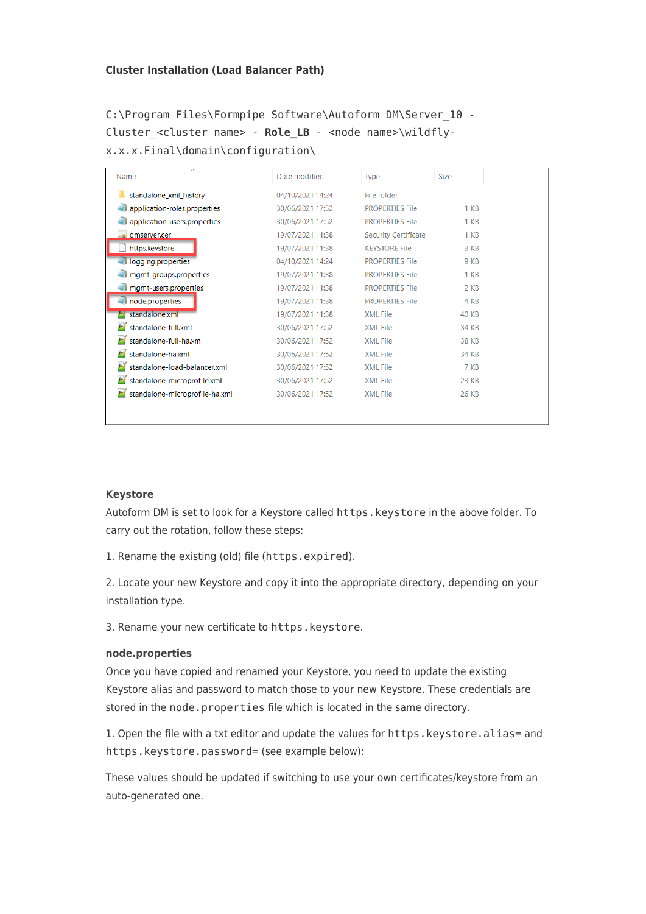#### **Cluster Installation (Load Balancer Path)**

C:\Program Files\Formpipe Software\Autoform DM\Server\_10 - Cluster <cluster name> - **Role\_LB** - <node name>\wildflyx.x.x.Final\domain\configuration\

| Name                           | Date modified    | <b>Type</b>                 | <b>Size</b>     |  |
|--------------------------------|------------------|-----------------------------|-----------------|--|
| standalone_xml_history         | 04/10/2021 14:24 | File folder                 |                 |  |
| application-roles.properties   | 30/06/2021 17:52 | <b>PROPERTIES File</b>      | 1 KB            |  |
| application-users.properties   | 30/06/2021 17:52 | <b>PROPERTIES File</b>      | 1 <sub>KB</sub> |  |
| dmserver.cer                   | 19/07/2021 11:38 | <b>Security Certificate</b> | 1 KB            |  |
| https.keystore                 | 19/07/2021 11:38 | <b>KEYSTORE File</b>        | 3 KB            |  |
| logging.properties             | 04/10/2021 14:24 | <b>PROPERTIES File</b>      | 9 KB            |  |
| mgmt-groups.properties         | 19/07/2021 11:38 | <b>PROPERTIES File</b>      | 1 <sub>KB</sub> |  |
| mgmt-users.properties          | 19/07/2021 11:38 | <b>PROPERTIES File</b>      | 2 KB            |  |
| node.properties                | 19/07/2021 11:38 | <b>PROPERTIES File</b>      | 4 KB            |  |
| standalone.xml                 | 19/07/2021 11:38 | <b>XML File</b>             | <b>40 KB</b>    |  |
| standalone-full.xml            | 30/06/2021 17:52 | <b>XML File</b>             | 34 KB           |  |
| standalone-full-ha.xml         | 30/06/2021 17:52 | <b>XML File</b>             | 38 KB           |  |
| standalone-ha.xml              | 30/06/2021 17:52 | <b>XML File</b>             | 34 KB           |  |
| standalone-load-balancer.xml   | 30/06/2021 17:52 | <b>XML File</b>             | 7 KB            |  |
| standalone-microprofile.xml    | 30/06/2021 17:52 | <b>XML File</b>             | 23 KB           |  |
| standalone-microprofile-ha.xml | 30/06/2021 17:52 | <b>XML File</b>             | 26 KB           |  |
|                                |                  |                             |                 |  |
|                                |                  |                             |                 |  |

#### **Keystore**

Autoform DM is set to look for a Keystore called https.keystore in the above folder. To carry out the rotation, follow these steps:

1. Rename the existing (old) file (https.expired).

2. Locate your new Keystore and copy it into the appropriate directory, depending on your installation type.

3. Rename your new certificate to https.keystore.

#### **node.properties**

Once you have copied and renamed your Keystore, you need to update the existing Keystore alias and password to match those to your new Keystore. These credentials are stored in the node.properties file which is located in the same directory.

1. Open the file with a txt editor and update the values for https.keystore.alias= and https.keystore.password= (see example below):

These values should be updated if switching to use your own certificates/keystore from an auto-generated one.